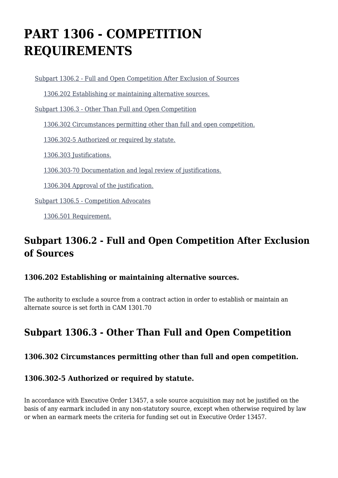# **PART 1306 - COMPETITION REQUIREMENTS**

[Subpart 1306.2 - Full and Open Competition After Exclusion of Sources](https://login.acquisition.gov/%5Brp:link:car-part-1306%5D#Subpart_1306_2_T48_5064471)

[1306.202 Establishing or maintaining alternative sources.](https://login.acquisition.gov/%5Brp:link:car-part-1306%5D#Section_1306_202_T48_506447111)

[Subpart 1306.3 - Other Than Full and Open Competition](https://login.acquisition.gov/%5Brp:link:car-part-1306%5D#Subpart_1306_3_T48_5064472)

[1306.302 Circumstances permitting other than full and open competition.](https://login.acquisition.gov/%5Brp:link:car-part-1306%5D#Section_1306_302_T48_506447211)

[1306.302-5 Authorized or required by statute.](https://login.acquisition.gov/%5Brp:link:car-part-1306%5D#Section_1306_302_5_T48_506447212)

[1306.303 Justifications.](https://login.acquisition.gov/%5Brp:link:car-part-1306%5D#Section_1306_303_T48_506447213)

[1306.303-70 Documentation and legal review of justifications.](https://login.acquisition.gov/%5Brp:link:car-part-1306%5D#Section_1306_303_70_T48_506447214)

[1306.304 Approval of the justification.](https://login.acquisition.gov/%5Brp:link:car-part-1306%5D#Section_1306_304_T48_506447215)

[Subpart 1306.5 - Competition Advocates](https://login.acquisition.gov/%5Brp:link:car-part-1306%5D#Subpart_1306_5_T48_5064473)

[1306.501 Requirement.](https://login.acquisition.gov/%5Brp:link:car-part-1306%5D#Section_1306_501_T48_506447311)

# **Subpart 1306.2 - Full and Open Competition After Exclusion of Sources**

## **1306.202 Establishing or maintaining alternative sources.**

The authority to exclude a source from a contract action in order to establish or maintain an alternate source is set forth in CAM 1301.70

# **Subpart 1306.3 - Other Than Full and Open Competition**

## **1306.302 Circumstances permitting other than full and open competition.**

## **1306.302-5 Authorized or required by statute.**

In accordance with Executive Order 13457, a sole source acquisition may not be justified on the basis of any earmark included in any non-statutory source, except when otherwise required by law or when an earmark meets the criteria for funding set out in Executive Order 13457.